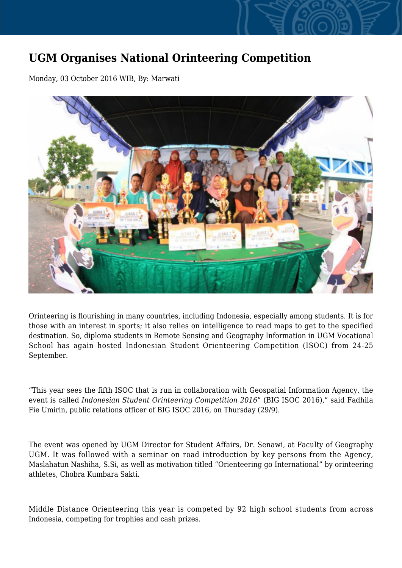## **UGM Organises National Orinteering Competition**

Monday, 03 October 2016 WIB, By: Marwati



Orinteering is flourishing in many countries, including Indonesia, especially among students. It is for those with an interest in sports; it also relies on intelligence to read maps to get to the specified destination. So, diploma students in Remote Sensing and Geography Information in UGM Vocational School has again hosted Indonesian Student Orienteering Competition (ISOC) from 24-25 September.

"This year sees the fifth ISOC that is run in collaboration with Geospatial Information Agency, the event is called *Indonesian Student Orinteering Competition 2016*" (BIG ISOC 2016)," said Fadhila Fie Umirin, public relations officer of BIG ISOC 2016, on Thursday (29/9).

The event was opened by UGM Director for Student Affairs, Dr. Senawi, at Faculty of Geography UGM. It was followed with a seminar on road introduction by key persons from the Agency, Maslahatun Nashiha, S.Si, as well as motivation titled "Orienteering go International" by orinteering athletes, Chobra Kumbara Sakti.

Middle Distance Orienteering this year is competed by 92 high school students from across Indonesia, competing for trophies and cash prizes.